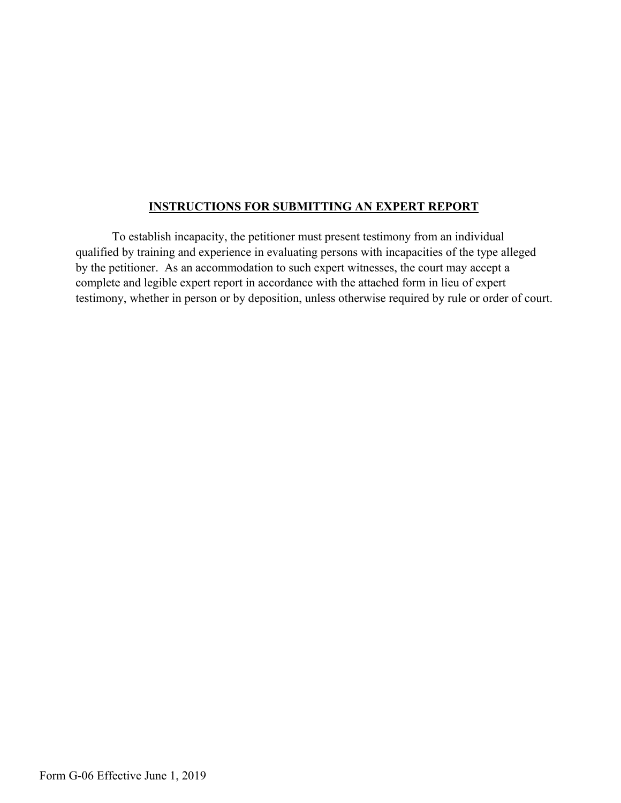## **INSTRUCTIONS FOR SUBMITTING AN EXPERT REPORT**

To establish incapacity, the petitioner must present testimony from an individual qualified by training and experience in evaluating persons with incapacities of the type alleged by the petitioner. As an accommodation to such expert witnesses, the court may accept a complete and legible expert report in accordance with the attached form in lieu of expert testimony, whether in person or by deposition, unless otherwise required by rule or order of court.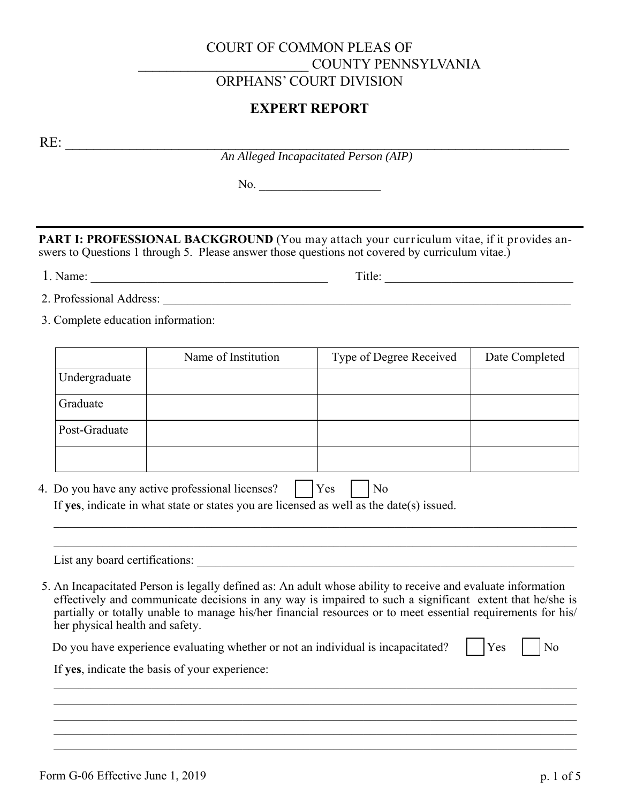## COURT OF COMMON PLEAS OF \_\_\_\_\_\_\_\_\_\_\_\_\_\_\_\_\_\_\_\_\_\_\_\_ COUNTY PENNSYLVANIA ORPHANS' COURT DIVISION

## **EXPERT REPORT**

RE:

*An Alleged Incapacitated Person (AIP)*

No.

**PART I: PROFESSIONAL BACKGROUND** (You may attach your curriculum vitae, if it provides answers to Questions 1 through 5. Please answer those questions not covered by curriculum vitae.)

1. Name: \_\_\_\_\_\_\_\_\_\_\_\_\_\_\_\_\_\_\_\_\_\_\_\_\_\_\_\_\_\_\_\_\_\_\_\_\_\_\_ Title: \_\_\_\_\_\_\_\_\_\_\_\_\_\_\_\_\_\_\_\_\_\_\_\_\_\_\_\_\_\_\_

- 2. Professional Address: \_\_\_\_\_\_\_\_\_\_\_\_\_\_\_\_\_\_\_\_\_\_\_\_\_\_\_\_\_\_\_\_\_\_\_\_\_\_\_\_\_\_\_\_\_\_\_\_\_\_\_\_\_\_\_\_\_\_\_\_\_\_\_\_\_\_\_
- 3. Complete education information:

|               | Name of Institution                                                                                                                          | Type of Degree Received | Date Completed |
|---------------|----------------------------------------------------------------------------------------------------------------------------------------------|-------------------------|----------------|
| Undergraduate |                                                                                                                                              |                         |                |
| Graduate      |                                                                                                                                              |                         |                |
| Post-Graduate |                                                                                                                                              |                         |                |
|               |                                                                                                                                              |                         |                |
|               | 4. Do you have any active professional licenses?<br>If yes, indicate in what state or states you are licensed as well as the date(s) issued. | Yes<br>N <sub>o</sub>   |                |
|               |                                                                                                                                              |                         |                |

List any board certifications:

5. An Incapacitated Person is legally defined as: An adult whose ability to receive and evaluate information effectively and communicate decisions in any way is impaired to such a significant extent that he/she is partially or totally unable to manage his/her financial resources or to meet essential requirements for his/ her physical health and safety.

 $\_$  , and the set of the set of the set of the set of the set of the set of the set of the set of the set of the set of the set of the set of the set of the set of the set of the set of the set of the set of the set of th  $\mathcal{L}_\mathcal{L} = \{ \mathcal{L}_\mathcal{L} = \{ \mathcal{L}_\mathcal{L} = \{ \mathcal{L}_\mathcal{L} = \{ \mathcal{L}_\mathcal{L} = \{ \mathcal{L}_\mathcal{L} = \{ \mathcal{L}_\mathcal{L} = \{ \mathcal{L}_\mathcal{L} = \{ \mathcal{L}_\mathcal{L} = \{ \mathcal{L}_\mathcal{L} = \{ \mathcal{L}_\mathcal{L} = \{ \mathcal{L}_\mathcal{L} = \{ \mathcal{L}_\mathcal{L} = \{ \mathcal{L}_\mathcal{L} = \{ \mathcal{L}_\mathcal{$  $\mathcal{L}_\mathcal{L} = \mathcal{L}_\mathcal{L} = \mathcal{L}_\mathcal{L} = \mathcal{L}_\mathcal{L} = \mathcal{L}_\mathcal{L} = \mathcal{L}_\mathcal{L} = \mathcal{L}_\mathcal{L} = \mathcal{L}_\mathcal{L} = \mathcal{L}_\mathcal{L} = \mathcal{L}_\mathcal{L} = \mathcal{L}_\mathcal{L} = \mathcal{L}_\mathcal{L} = \mathcal{L}_\mathcal{L} = \mathcal{L}_\mathcal{L} = \mathcal{L}_\mathcal{L} = \mathcal{L}_\mathcal{L} = \mathcal{L}_\mathcal{L}$  $\mathcal{L}_\mathcal{L} = \{ \mathcal{L}_\mathcal{L} = \{ \mathcal{L}_\mathcal{L} = \{ \mathcal{L}_\mathcal{L} = \{ \mathcal{L}_\mathcal{L} = \{ \mathcal{L}_\mathcal{L} = \{ \mathcal{L}_\mathcal{L} = \{ \mathcal{L}_\mathcal{L} = \{ \mathcal{L}_\mathcal{L} = \{ \mathcal{L}_\mathcal{L} = \{ \mathcal{L}_\mathcal{L} = \{ \mathcal{L}_\mathcal{L} = \{ \mathcal{L}_\mathcal{L} = \{ \mathcal{L}_\mathcal{L} = \{ \mathcal{L}_\mathcal{$ 

Do you have experience evaluating whether or not an individual is incapacitated? Yes No

If **yes**, indicate the basis of your experience: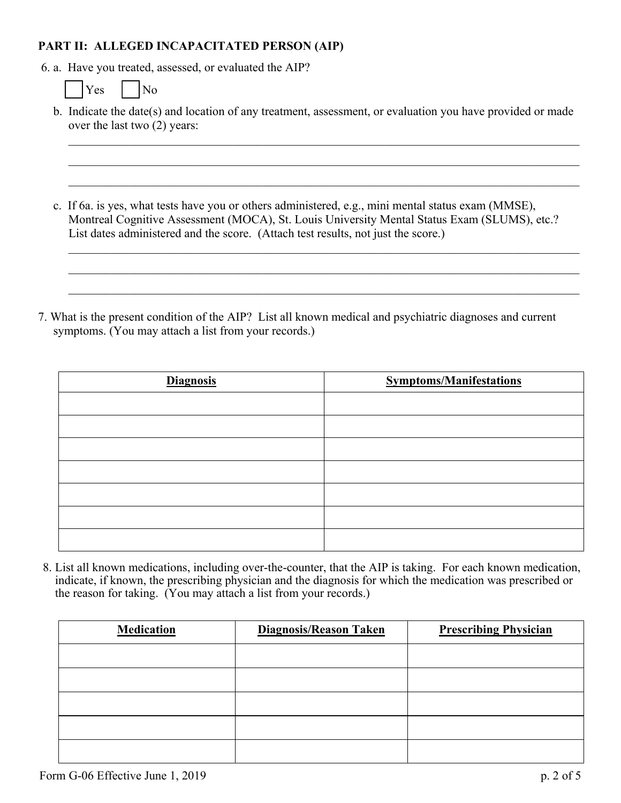## **PART II: ALLEGED INCAPACITATED PERSON (AIP)**

6. a. Have you treated, assessed, or evaluated the AIP?

|  | es |  | N٥ |
|--|----|--|----|
|--|----|--|----|

b. Indicate the date(s) and location of any treatment, assessment, or evaluation you have provided or made over the last two (2) years:

\_\_\_\_\_\_\_\_\_\_\_\_\_\_\_\_\_\_\_\_\_\_\_\_\_\_\_\_\_\_\_\_\_\_\_\_\_\_\_\_\_\_\_\_\_\_\_\_\_\_\_\_\_\_\_\_\_\_\_\_\_\_\_\_\_\_\_\_\_\_\_\_\_\_\_\_\_\_\_\_\_\_\_\_

\_\_\_\_\_\_\_\_\_\_\_\_\_\_\_\_\_\_\_\_\_\_\_\_\_\_\_\_\_\_\_\_\_\_\_\_\_\_\_\_\_\_\_\_\_\_\_\_\_\_\_\_\_\_\_\_\_\_\_\_\_\_\_\_\_\_\_\_\_\_\_\_\_\_\_\_\_\_\_\_\_\_\_\_

 $\mathcal{L}_\mathcal{L} = \mathcal{L}_\mathcal{L} = \mathcal{L}_\mathcal{L} = \mathcal{L}_\mathcal{L} = \mathcal{L}_\mathcal{L} = \mathcal{L}_\mathcal{L} = \mathcal{L}_\mathcal{L} = \mathcal{L}_\mathcal{L} = \mathcal{L}_\mathcal{L} = \mathcal{L}_\mathcal{L} = \mathcal{L}_\mathcal{L} = \mathcal{L}_\mathcal{L} = \mathcal{L}_\mathcal{L} = \mathcal{L}_\mathcal{L} = \mathcal{L}_\mathcal{L} = \mathcal{L}_\mathcal{L} = \mathcal{L}_\mathcal{L}$ 

\_\_\_\_\_\_\_\_\_\_\_\_\_\_\_\_\_\_\_\_\_\_\_\_\_\_\_\_\_\_\_\_\_\_\_\_\_\_\_\_\_\_\_\_\_\_\_\_\_\_\_\_\_\_\_\_\_\_\_\_\_\_\_\_\_\_\_\_\_\_\_\_\_\_\_\_\_\_\_\_\_\_\_\_

c. If 6a. is yes, what tests have you or others administered, e.g., mini mental status exam (MMSE), Montreal Cognitive Assessment (MOCA), St. Louis University Mental Status Exam (SLUMS), etc.? List dates administered and the score. (Attach test results, not just the score.)

7. What is the present condition of the AIP? List all known medical and psychiatric diagnoses and current symptoms. (You may attach a list from your records.)

| <b>Diagnosis</b> | <b>Symptoms/Manifestations</b> |
|------------------|--------------------------------|
|                  |                                |
|                  |                                |
|                  |                                |
|                  |                                |
|                  |                                |
|                  |                                |
|                  |                                |

8. List all known medications, including over-the-counter, that the AIP is taking. For each known medication, indicate, if known, the prescribing physician and the diagnosis for which the medication was prescribed or the reason for taking. (You may attach a list from your records.)

| <b>Medication</b> | <b>Diagnosis/Reason Taken</b> | <b>Prescribing Physician</b> |  |  |
|-------------------|-------------------------------|------------------------------|--|--|
|                   |                               |                              |  |  |
|                   |                               |                              |  |  |
|                   |                               |                              |  |  |
|                   |                               |                              |  |  |
|                   |                               |                              |  |  |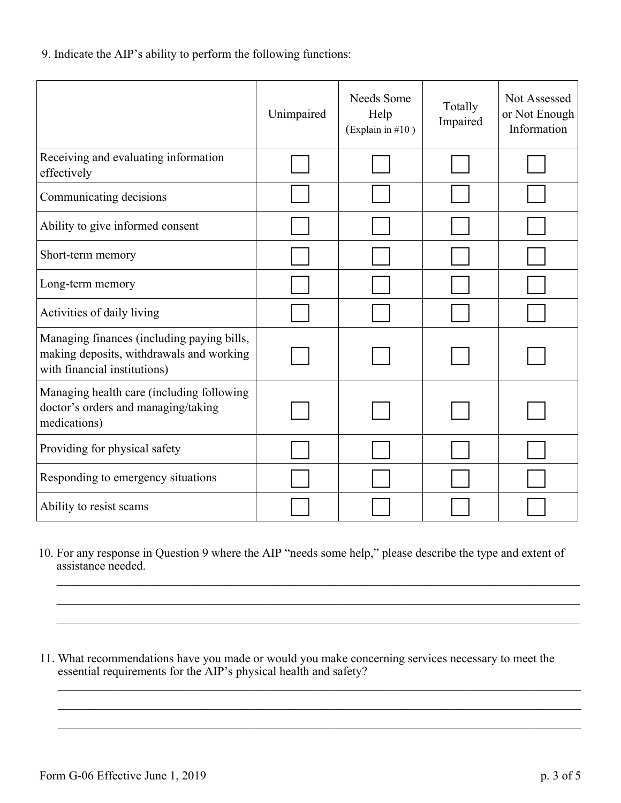9. Indicate the AIP's ability to perform the following functions:

|                                                                                                                        | Unimpaired | Needs Some<br>Help<br>(Explain in $#10$ ) | Totally<br>Impaired | Not Assessed<br>or Not Enough<br>Information |
|------------------------------------------------------------------------------------------------------------------------|------------|-------------------------------------------|---------------------|----------------------------------------------|
| Receiving and evaluating information<br>effectively                                                                    |            |                                           |                     |                                              |
| Communicating decisions                                                                                                |            |                                           |                     |                                              |
| Ability to give informed consent                                                                                       |            |                                           |                     |                                              |
| Short-term memory                                                                                                      |            |                                           |                     |                                              |
| Long-term memory                                                                                                       |            |                                           |                     |                                              |
| Activities of daily living                                                                                             |            |                                           |                     |                                              |
| Managing finances (including paying bills,<br>making deposits, withdrawals and working<br>with financial institutions) |            |                                           |                     |                                              |
| Managing health care (including following<br>doctor's orders and managing/taking<br>medications)                       |            |                                           |                     |                                              |
| Providing for physical safety                                                                                          |            |                                           |                     |                                              |
| Responding to emergency situations                                                                                     |            |                                           |                     |                                              |
| Ability to resist scams                                                                                                |            |                                           |                     |                                              |

10. For any response in Question 9 where the AIP "needs some help," please describe the type and extent of assistance needed.

 $\_$  , and the set of the set of the set of the set of the set of the set of the set of the set of the set of the set of the set of the set of the set of the set of the set of the set of the set of the set of the set of th

 $\mathcal{L}_\mathcal{L} = \{ \mathcal{L}_\mathcal{L} = \{ \mathcal{L}_\mathcal{L} = \{ \mathcal{L}_\mathcal{L} = \{ \mathcal{L}_\mathcal{L} = \{ \mathcal{L}_\mathcal{L} = \{ \mathcal{L}_\mathcal{L} = \{ \mathcal{L}_\mathcal{L} = \{ \mathcal{L}_\mathcal{L} = \{ \mathcal{L}_\mathcal{L} = \{ \mathcal{L}_\mathcal{L} = \{ \mathcal{L}_\mathcal{L} = \{ \mathcal{L}_\mathcal{L} = \{ \mathcal{L}_\mathcal{L} = \{ \mathcal{L}_\mathcal{$ 

 $\mathcal{L}_\mathcal{L} = \{ \mathcal{L}_\mathcal{L} = \{ \mathcal{L}_\mathcal{L} = \{ \mathcal{L}_\mathcal{L} = \{ \mathcal{L}_\mathcal{L} = \{ \mathcal{L}_\mathcal{L} = \{ \mathcal{L}_\mathcal{L} = \{ \mathcal{L}_\mathcal{L} = \{ \mathcal{L}_\mathcal{L} = \{ \mathcal{L}_\mathcal{L} = \{ \mathcal{L}_\mathcal{L} = \{ \mathcal{L}_\mathcal{L} = \{ \mathcal{L}_\mathcal{L} = \{ \mathcal{L}_\mathcal{L} = \{ \mathcal{L}_\mathcal{$ 

11. What recommendations have you made or would you make concerning services necessary to meet the essential requirements for the AIP's physical health and safety?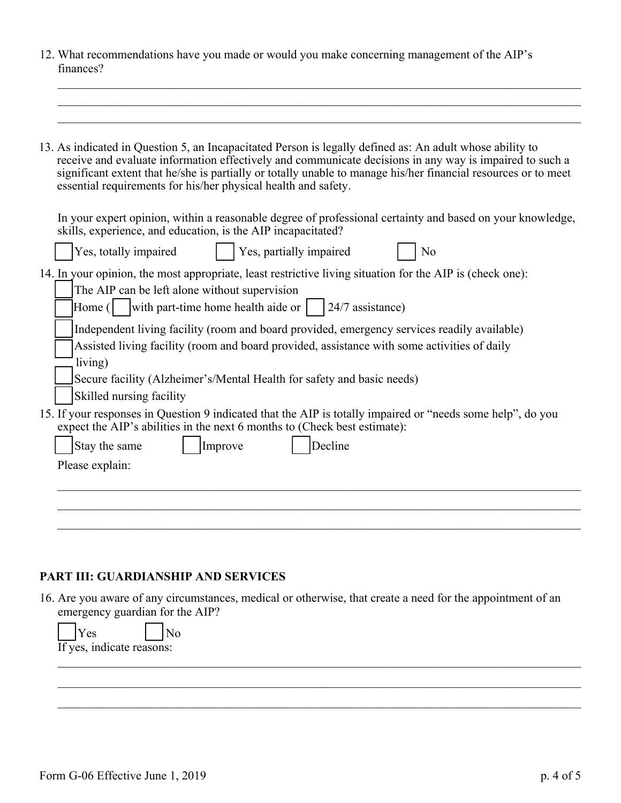12. What recommendations have you made or would you make concerning management of the AIP's finances?

 $\_$  , and the set of the set of the set of the set of the set of the set of the set of the set of the set of the set of the set of the set of the set of the set of the set of the set of the set of the set of the set of th

16. Are you aware of any circumstances, medical or otherwise, that create a need for the appointment of an emergency guardian for the AIP?

| l Y es<br>N <sub>0</sub><br>If yes, indicate reasons: |  |  |
|-------------------------------------------------------|--|--|
|                                                       |  |  |